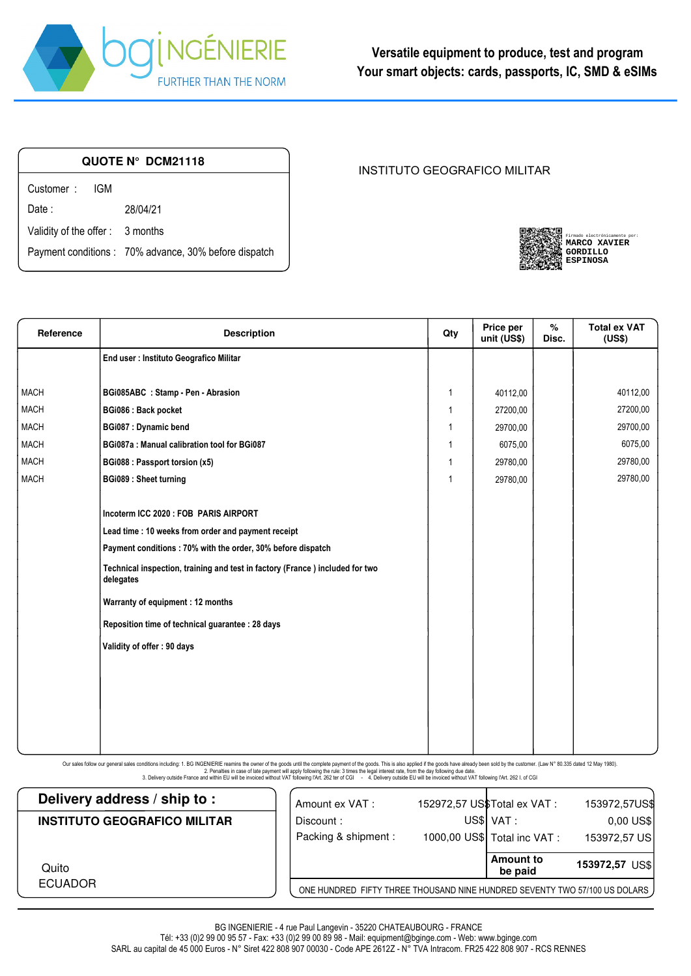

| QUOTE N° DCM21118               |                                                       |  |  |  |  |
|---------------------------------|-------------------------------------------------------|--|--|--|--|
| Customer: IGM                   |                                                       |  |  |  |  |
| Date :                          | 28/04/21                                              |  |  |  |  |
| Validity of the offer: 3 months |                                                       |  |  |  |  |
|                                 | Payment conditions : 70% advance, 30% before dispatch |  |  |  |  |

## INSTITUTO GEOGRAFICO MILITAR

| Firmado electrónicamente por:<br><b>MARCO XAVIER</b><br>GORDILLO |
|------------------------------------------------------------------|
| <b>ESPINOSA</b>                                                  |

| Reference   | <b>Description</b>                                                                        | Qty            | Price per<br>unit (US\$) | $\%$<br>Disc. | <b>Total ex VAT</b><br>(US\$) |
|-------------|-------------------------------------------------------------------------------------------|----------------|--------------------------|---------------|-------------------------------|
|             | End user : Instituto Geografico Militar                                                   |                |                          |               |                               |
|             |                                                                                           |                |                          |               |                               |
| <b>MACH</b> | BGi085ABC : Stamp - Pen - Abrasion                                                        | $\mathbf{1}$   | 40112,00                 |               | 40112,00                      |
| <b>MACH</b> | BGi086 : Back pocket                                                                      | $\overline{1}$ | 27200,00                 |               | 27200,00                      |
| <b>MACH</b> | <b>BGi087: Dynamic bend</b>                                                               | -1             | 29700,00                 |               | 29700,00                      |
| <b>MACH</b> | BGi087a : Manual calibration tool for BGi087                                              | $\overline{1}$ | 6075,00                  |               | 6075,00                       |
| <b>MACH</b> | BGi088 : Passport torsion (x5)                                                            | -1             | 29780,00                 |               | 29780,00                      |
| <b>MACH</b> | <b>BGi089: Sheet turning</b>                                                              | -1             | 29780,00                 |               | 29780,00                      |
|             |                                                                                           |                |                          |               |                               |
|             | Incoterm ICC 2020 : FOB PARIS AIRPORT                                                     |                |                          |               |                               |
|             | Lead time : 10 weeks from order and payment receipt                                       |                |                          |               |                               |
|             | Payment conditions: 70% with the order, 30% before dispatch                               |                |                          |               |                               |
|             | Technical inspection, training and test in factory (France) included for two<br>delegates |                |                          |               |                               |
|             | Warranty of equipment : 12 months                                                         |                |                          |               |                               |
|             | Reposition time of technical guarantee : 28 days                                          |                |                          |               |                               |
|             | Validity of offer: 90 days                                                                |                |                          |               |                               |
|             |                                                                                           |                |                          |               |                               |
|             |                                                                                           |                |                          |               |                               |
|             |                                                                                           |                |                          |               |                               |
|             |                                                                                           |                |                          |               |                               |
|             |                                                                                           |                |                          |               |                               |
|             |                                                                                           |                |                          |               |                               |

Our sales follow our general sales conditions including: 1. BG INGENIERIE reamins the owner of the goods until the complete payment of the goods. This is also applied if the goods have already been sold by the customer. (

| Delivery address / ship to:         | Amount ex VAT :                                                            | 152972,57 US\$Total ex VAT : | 153972,57US\$  |
|-------------------------------------|----------------------------------------------------------------------------|------------------------------|----------------|
| <b>INSTITUTO GEOGRAFICO MILITAR</b> | Discount:                                                                  | US\$ VAT:                    | $0,00$ US\$    |
|                                     | Packing & shipment :                                                       | 1000,00 US\$ Total inc VAT : | 153972,57 US   |
| Quito                               |                                                                            | <b>Amount to</b><br>be paid  | 153972,57 US\$ |
| <b>ECUADOR</b>                      | ONE HUNDRED FIFTY THREE THOUSAND NINE HUNDRED SEVENTY TWO 57/100 US DOLARS |                              |                |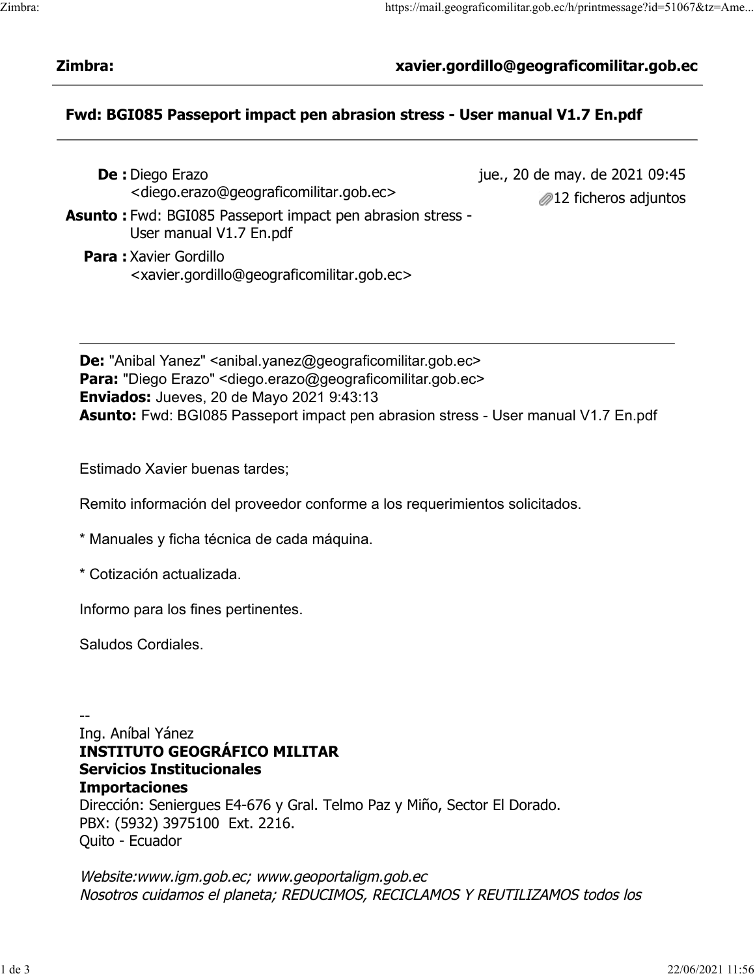## Zimbra: xavier.gordillo@geograficomilitar.gob.ec

## Fwd: BGI085 Passeport impact pen abrasion stress - User manual V1.7 En.pdf

- De : Diego Erazo <diego.erazo@geograficomilitar.gob.ec>
- jue., 20 de may. de 2021 09:45 **212 ficheros adjuntos**
- **Asunto:** Fwd: BGI085 Passeport impact pen abrasion stress -User manual V1.7 En.pdf
	- Para : Xavier Gordillo <xavier.gordillo@geograficomilitar.gob.ec>

De: "Anibal Yanez" <anibal.yanez@geograficomilitar.gob.ec> Para: "Diego Erazo" < diego.erazo@geograficomilitar.gob.ec> Enviados: Jueves, 20 de Mayo 2021 9:43:13 Asunto: Fwd: BGI085 Passeport impact pen abrasion stress - User manual V1.7 En.pdf

Estimado Xavier buenas tardes;

Remito información del proveedor conforme a los requerimientos solicitados.

- \* Manuales y ficha técnica de cada máquina.
- \* Cotización actualizada.

Informo para los fines pertinentes.

Saludos Cordiales.

--

Ing. Aníbal Yánez INSTITUTO GEOGRÁFICO MILITAR Servicios Institucionales Importaciones Dirección: Seniergues E4-676 y Gral. Telmo Paz y Miño, Sector El Dorado. PBX: (5932) 3975100 Ext. 2216. Quito - Ecuador

Website:www.igm.gob.ec; www.geoportaligm.gob.ec Nosotros cuidamos el planeta; REDUCIMOS, RECICLAMOS Y REUTILIZAMOS todos los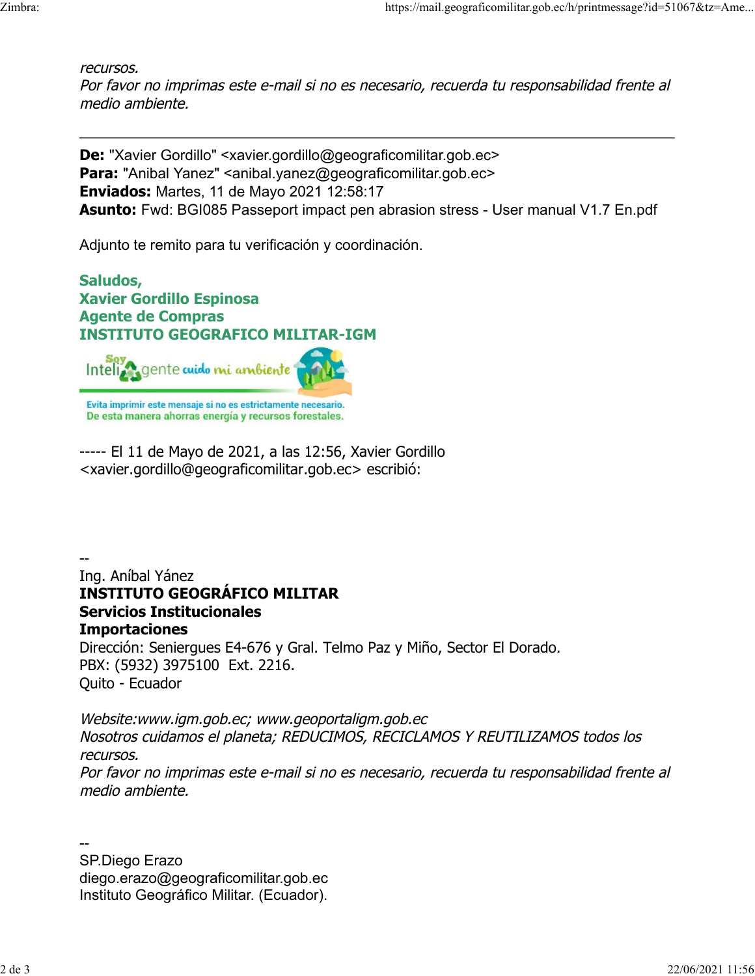recursos.

Por favor no imprimas este e-mail si no es necesario, recuerda tu responsabilidad frente al medio ambiente.

De: "Xavier Gordillo" <xavier.gordillo@geograficomilitar.gob.ec> Para: "Anibal Yanez" <anibal.yanez@geograficomilitar.gob.ec> Enviados: Martes, 11 de Mayo 2021 12:58:17 Asunto: Fwd: BGI085 Passeport impact pen abrasion stress - User manual V1.7 En.pdf

Adjunto te remito para tu verificación y coordinación.

Saludos, Xavier Gordillo Espinosa Agente de Compras INSTITUTO GEOGRAFICO MILITAR-IGM



Evita imprimir este mensaje si no es estrictamente necesario. De esta manera ahorras energía y recursos forestales.

----- El 11 de Mayo de 2021, a las 12:56, Xavier Gordillo <xavier.gordillo@geograficomilitar.gob.ec> escribió:

-- Ing. Aníbal Yánez INSTITUTO GEOGRÁFICO MILITAR Servicios Institucionales Importaciones Dirección: Seniergues E4-676 y Gral. Telmo Paz y Miño, Sector El Dorado. PBX: (5932) 3975100 Ext. 2216. Quito - Ecuador

Website:www.igm.gob.ec; www.geoportaligm.gob.ec Nosotros cuidamos el planeta; REDUCIMOS, RECICLAMOS Y REUTILIZAMOS todos los recursos. Por favor no imprimas este e-mail si no es necesario, recuerda tu responsabilidad frente al medio ambiente.

-- SP.Diego Erazo diego.erazo@geograficomilitar.gob.ec Instituto Geográfico Militar. (Ecuador).